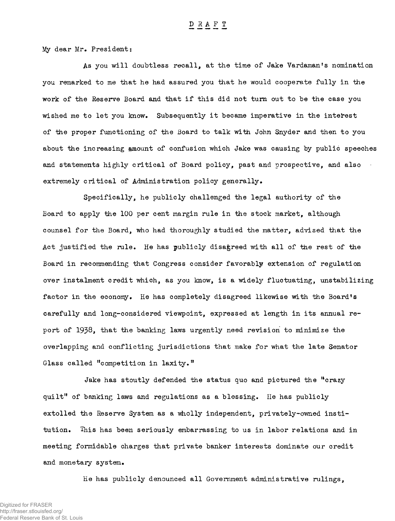My dear Mr. President:

As you will doubtless recall, at the time of Jake Vardaman's nomination you remarked to me that he had assured you that he would cooperate fully in the work of the Reserve Board and that if this did not turn out to be the case you wished me to let you know. Subsequently it became imperative in the interest of the proper functioning of the Board to talk with John Snyder and then to you about the increasing amount of confusion which Jake was causing by public speeches and statements highly critical of Board policy, past and prospective, and also extremely critical of Administration policy generally.

Specifically, he publicly challenged the legal authority of the Board to apply the 100 per cent margin rule in the stock market, although counsel for the Board, who had thoroughly studied the matter, advised that the Act justified the rule. He has publicly disagreed with all of the rest of the Board in recommending that Congress consider favorably extension of regulation over instalment credit which, as you know, is a widely fluctuating, unstabilizing factor in the economy. He has completely disagreed likewise with the Board's carefully and long-considered viewpoint, expressed at length in its annual report of 1938, that the banking laws urgently need revision to minimize the overlapping and conflicting jurisdictions that make for what the late Senator Glass called "competition in laxity."

Jake has stoutly defended the status quo and pictured the "crazy quilt" of banking laws and regulations as a blessing. He has publicly extolled the Reserve System as a wholly independent, privately-owned institution. This has been seriously embarrassing to us in labor relations and in meeting formidable charges that private banker interests dominate our credit and monetary system.

He has publicly denounced all Government administrative rulings,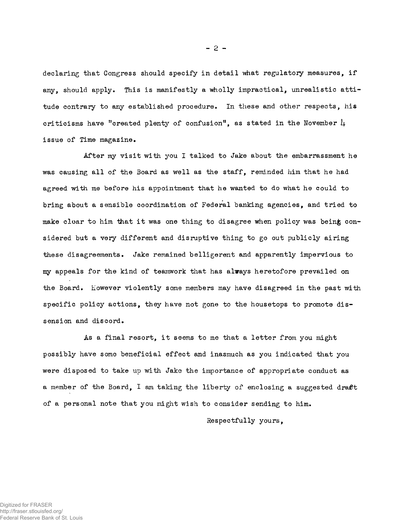declaring that Congress should specify in detail what regulatory measures, if any, should apply. This is manifestly a wholly impractical, unrealistic attitude contrary to any established procedure. In these and other respects, his criticisms have "created plenty of confusion", as stated in the November  $\mu$ issue of Time magazine.

After my visit with you I talked to Jake about the embarrassment he was causing all of the Board as well as the staff, reminded him that he had agreed with me before his appointment that he wanted to do what he could to bring about a sensible coordination of Federal banking agencies, and tried to make clear to him that it was one thing to disagree when policy was being considered but a very different and disruptive thing to go out publicly airing these disagreements. Jake remained belligerent and apparently impervious to my appeals for the kind of teamwork that has always heretofore prevailed on the Board. However violently some members may have disagreed in the past with specific policy actions, they have not gone to the housetops to promote dissension and discord.

As a final resort, it seems to me that a letter from you might possibly have some beneficial effect and inasmuch as you indicated that you were disposed to take up with Jake the importance of appropriate conduct as a member of the Board, I am taking the liberty of enclosing a suggested draft of a personal note that you might wish to consider sending to him.

Respectfully yours,

 $- 2 -$